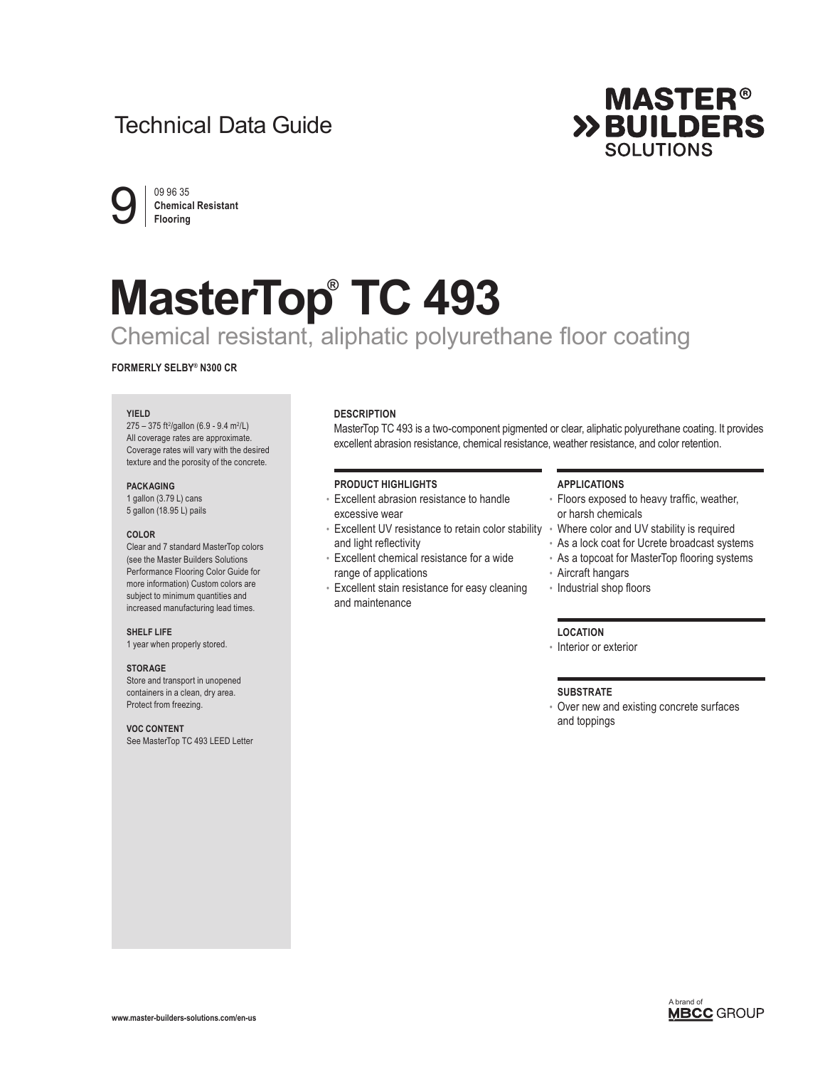# Technical Data Guide



 $9 \nvert \frac{09 96 35}{\text{Flooring}}$ **Chemical Resistant Flooring**

# **MasterTop® TC 493**

# Chemical resistant, aliphatic polyurethane floor coating

# **FORMERLY SELBY® N300 CR**

#### **YIELD**

275 - 375 ft<sup>2</sup>/gallon (6.9 - 9.4 m<sup>2</sup>/L) All coverage rates are approximate. Coverage rates will vary with the desired texture and the porosity of the concrete.

#### **PACKAGING**

1 gallon (3.79 L) cans 5 gallon (18.95 L) pails

#### **COLOR**

Clear and 7 standard MasterTop colors (see the Master Builders Solutions Performance Flooring Color Guide for more information) Custom colors are subject to minimum quantities and increased manufacturing lead times.

#### **SHELF LIFE**

1 year when properly stored.

#### **STORAGE**

Store and transport in unopened containers in a clean, dry area. Protect from freezing.

## **VOC CONTENT**

See MasterTop TC 493 LEED Letter

# **DESCRIPTION**

MasterTop TC 493 is a two-component pigmented or clear, aliphatic polyurethane coating. It provides excellent abrasion resistance, chemical resistance, weather resistance, and color retention.

#### **PRODUCT HIGHLIGHTS**

- Excellent abrasion resistance to handle excessive wear
- Excellent UV resistance to retain color stability Where color and UV stability is required and light reflectivity
- Excellent chemical resistance for a wide range of applications
- Excellent stain resistance for easy cleaning and maintenance

#### **APPLICATIONS**

- Floors exposed to heavy traffic, weather, or harsh chemicals
- 
- As a lock coat for Ucrete broadcast systems
- As a topcoat for MasterTop flooring systems
- Aircraft hangars
- Industrial shop floors

## **LOCATION**

• Interior or exterior

#### **SUBSTRATE**

• Over new and existing concrete surfaces and toppings

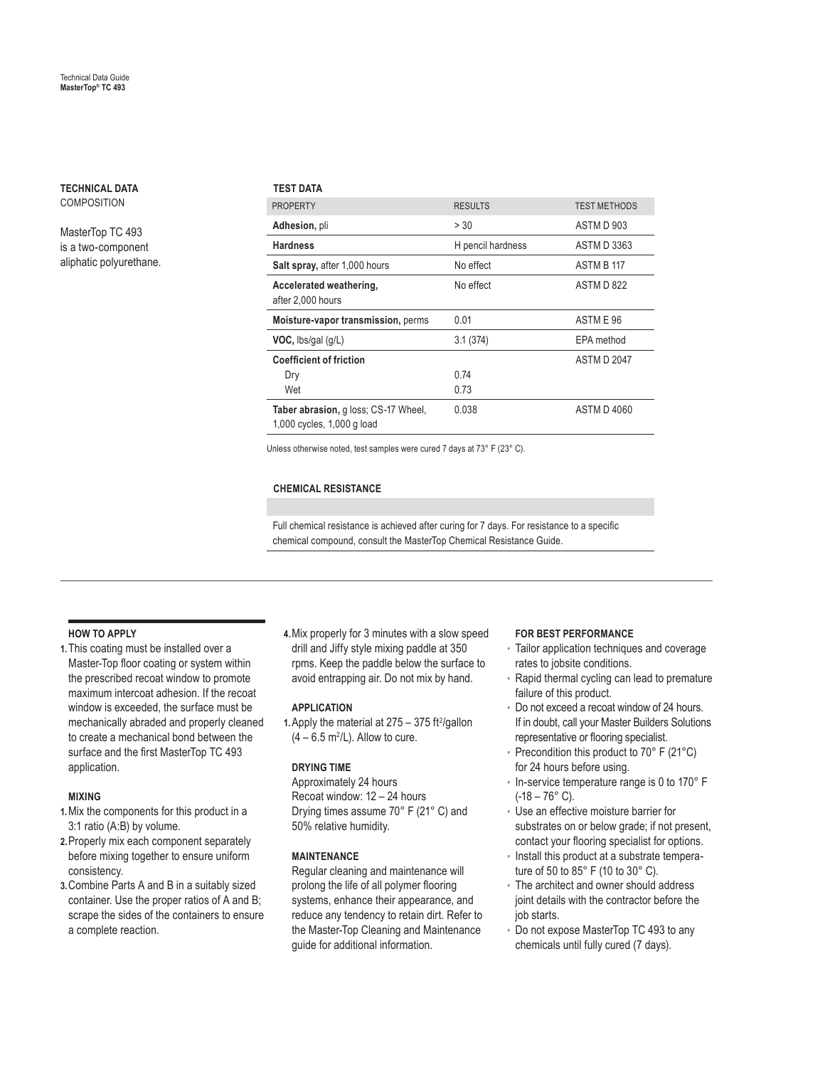**TECHNICAL DATA COMPOSITION** 

MasterTop TC 493 is a two-component aliphatic polyurethane.

# **TEST DATA**

| <b>PROPERTY</b>                                                    | <b>RESULTS</b>    | <b>TEST METHODS</b> |
|--------------------------------------------------------------------|-------------------|---------------------|
| Adhesion, pli                                                      | > 30              | ASTM D 903          |
| <b>Hardness</b>                                                    | H pencil hardness | ASTM D 3363         |
| Salt spray, after 1,000 hours                                      | No effect         | ASTM B 117          |
| Accelerated weathering,<br>after 2,000 hours                       | No effect         | ASTM D 822          |
| Moisture-vapor transmission, perms                                 | 0.01              | ASTME 96            |
| $VOC$ , lbs/gal $(g/L)$                                            | 3.1(374)          | EPA method          |
| <b>Coefficient of friction</b>                                     |                   | <b>ASTM D 2047</b>  |
| Dry                                                                | 0.74              |                     |
| Wet                                                                | 0.73              |                     |
| Taber abrasion, g loss; CS-17 Wheel,<br>1,000 cycles, 1,000 g load | 0.038             | <b>ASTM D 4060</b>  |

Unless otherwise noted, test samples were cured 7 days at 73° F (23° C).

# **CHEMICAL RESISTANCE**

Full chemical resistance is achieved after curing for 7 days. For resistance to a specific chemical compound, consult the MasterTop Chemical Resistance Guide.

# **HOW TO APPLY**

**1.** This coating must be installed over a Master-Top floor coating or system within the prescribed recoat window to promote maximum intercoat adhesion. If the recoat window is exceeded, the surface must be mechanically abraded and properly cleaned to create a mechanical bond between the surface and the first MasterTop TC 493 application.

#### **MIXING**

- **1.** Mix the components for this product in a 3:1 ratio (A:B) by volume.
- **2.** Properly mix each component separately before mixing together to ensure uniform consistency.
- **3.** Combine Parts A and B in a suitably sized container. Use the proper ratios of A and B; scrape the sides of the containers to ensure a complete reaction.

**4.** Mix properly for 3 minutes with a slow speed drill and Jiffy style mixing paddle at 350 rpms. Keep the paddle below the surface to avoid entrapping air. Do not mix by hand.

#### **APPLICATION**

1. Apply the material at  $275 - 375$  ft<sup>2</sup>/gallon  $(4 - 6.5 \text{ m}^2/\text{L})$ . Allow to cure.

# **DRYING TIME**

Approximately 24 hours Recoat window: 12 – 24 hours Drying times assume 70° F (21° C) and 50% relative humidity.

# **MAINTENANCE**

Regular cleaning and maintenance will prolong the life of all polymer flooring systems, enhance their appearance, and reduce any tendency to retain dirt. Refer to the Master-Top Cleaning and Maintenance guide for additional information.

#### **FOR BEST PERFORMANCE**

- Tailor application techniques and coverage rates to jobsite conditions.
- Rapid thermal cycling can lead to premature failure of this product.
- Do not exceed a recoat window of 24 hours. If in doubt, call your Master Builders Solutions representative or flooring specialist.
- Precondition this product to 70° F (21°C) for 24 hours before using.
- In-service temperature range is 0 to 170° F  $(-18 - 76^{\circ} \text{ C}).$
- Use an effective moisture barrier for substrates on or below grade; if not present, contact your flooring specialist for options.
- Install this product at a substrate temperature of 50 to 85° F (10 to 30° C).
- The architect and owner should address joint details with the contractor before the iob starts.
- Do not expose MasterTop TC 493 to any chemicals until fully cured (7 days).